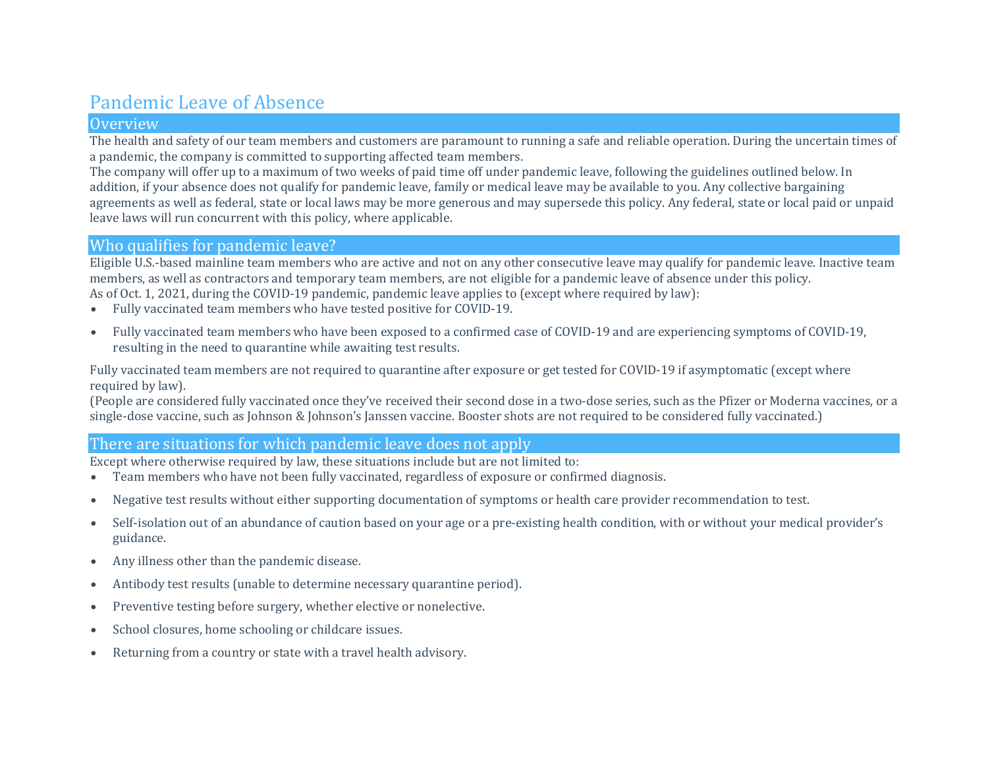## Pandemic Leave of Absence

### **Overview**

The health and safety of our team members and customers are paramount to running a safe and reliable operation. During the uncertain times of a pandemic, the company is committed to supporting affected team members.

The company will offer up to a maximum of two weeks of paid time off under pandemic leave, following the guidelines outlined below. In addition, if your absence does not qualify for pandemic leave, family or medical leave may be available to you. Any collective bargaining agreements as well as federal, state or local laws may be more generous and may supersede this policy. Any federal, state or local paid or unpaid leave laws will run concurrent with this policy, where applicable.

## Who qualifies for pandemic leave?

Eligible U.S.-based mainline team members who are active and not on any other consecutive leave may qualify for pandemic leave. Inactive team members, as well as contractors and temporary team members, are not eligible for a pandemic leave of absence under this policy. As of Oct. 1, 2021, during the COVID-19 pandemic, pandemic leave applies to (except where required by law):

- Fully vaccinated team members who have tested positive for COVID-19.
- Fully vaccinated team members who have been exposed to a confirmed case of COVID-19 and are experiencing symptoms of COVID-19, resulting in the need to quarantine while awaiting test results.

Fully vaccinated team members are not required to quarantine after exposure or get tested for COVID-19 if asymptomatic (except where required by law).

(People are considered fully vaccinated once they've received their second dose in a two-dose series, such as the Pfizer or Moderna vaccines, or a single-dose vaccine, such as Johnson & Johnson's Janssen vaccine. Booster shots are not required to be considered fully vaccinated.)

## There are situations for which pandemic leave does not apply

Except where otherwise required by law, these situations include but are not limited to:<br>• Team members who have not been fully vaccinated, regardless of exposure or confir

- Team members who have not been fully vaccinated, regardless of exposure or confirmed diagnosis.
- Negative test results without either supporting documentation of symptoms or health care provider recommendation to test.
- Self-isolation out of an abundance of caution based on your age or a pre-existing health condition, with or without your medical provider's guidance.
- Any illness other than the pandemic disease.
- Antibody test results (unable to determine necessary quarantine period).
- Preventive testing before surgery, whether elective or nonelective.
- School closures, home schooling or childcare issues.
- Returning from a country or state with a travel health advisory.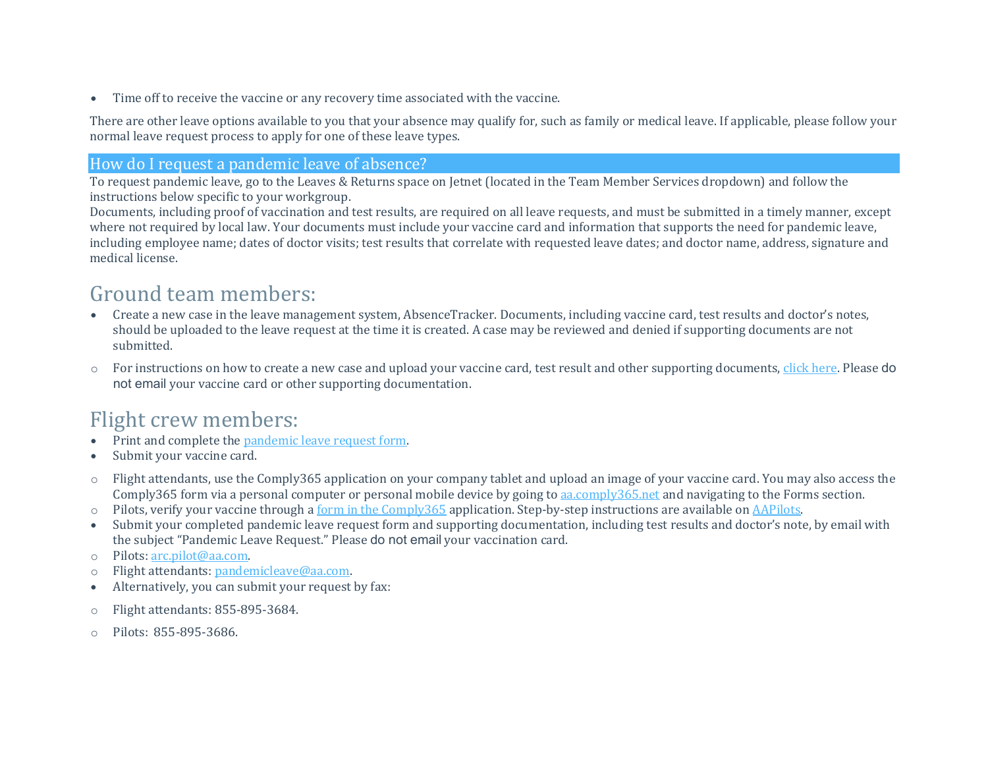• Time off to receive the vaccine or any recovery time associated with the vaccine.

There are other leave options available to you that your absence may qualify for, such as family or medical leave. If applicable, please follow your normal leave request process to apply for one of these leave types.

## How do I request a pandemic leave of absence?

To request pandemic leave, go to the Leaves & Returns space on Jetnet (located in the Team Member Services dropdown) and follow the instructions below specific to your workgroup.

Documents, including proof of vaccination and test results, are required on all leave requests, and must be submitted in a timely manner, except where not required by local law. Your documents must include your vaccine card and information that supports the need for pandemic leave, including employee name; dates of doctor visits; test results that correlate with requested leave dates; and doctor name, address, signature and medical license.

# Ground team members:

- Create a new case in the leave management system, AbsenceTracker. Documents, including vaccine card, test results and doctor's notes, should be uploaded to the leave request at the time it is created. A case may be reviewed and denied if supporting documents are not submitted.
- o For instructions on how to create a new case and upload your vaccine card, test result and other supporting documents, click [here.](https://corpcomm.jetnet.aa.com/pdf/How-to-Submit-Your-Documents-and-Confirm-Receipt.pdf) Please do not email your vaccine card or other supporting documentation.

## Flight crew members:

- Print and complete the [pandemic](https://department.jetnet.aa.com/HRMisc/Leaves/Pandemic_Leave_Form.pdf) leave request form.
- Submit your vaccine card.
- o Flight attendants, use the Comply365 application on your company tablet and upload an image of your vaccine card. You may also access the Comply365 form via a personal computer or personal mobile device by going to [aa.comply365.net](https://aa.comply365.net/) and navigating to the Forms section.
- $\circ$  Pilots, verify your vaccine through a form in the [Comply365](https://aapilots.aa.com/uploads/temp/28462.pdf) application. Step-by-step instructions are available on [AAPilots.](https://aapilots.aa.com/ps_login.asp)
- Submit your completed pandemic leave request form and supporting documentation, including test results and doctor's note, by email with the subject "Pandemic Leave Request." Please do not email your vaccination card.
- o Pilots: [arc.pilot@aa.com.](mailto:arc.pilot@aa.com)
- o Flight attendants: [pandemicleave@aa.com.](mailto:pandemicleave@aa.com)
- Alternatively, you can submit your request by fax:
- o Flight attendants: 855-895-3684.
- o Pilots: 855-895-3686.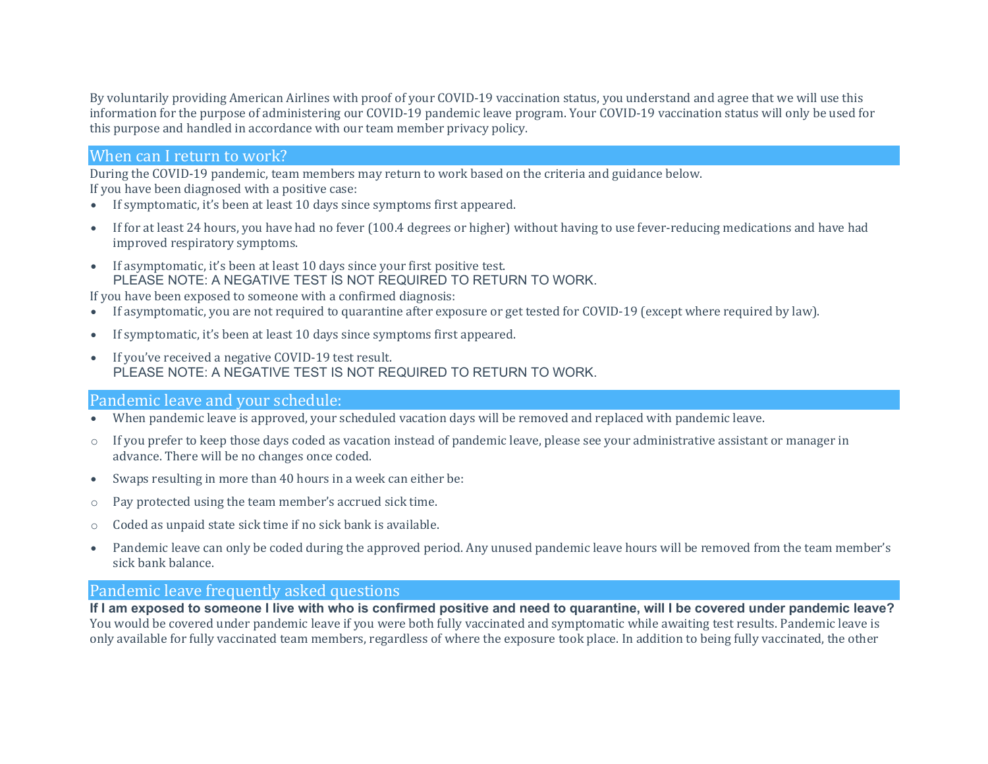By voluntarily providing American Airlines with proof of your COVID-19 vaccination status, you understand and agree that we will use this information for the purpose of administering our COVID-19 pandemic leave program. Your COVID-19 vaccination status will only be used for this purpose and handled in accordance with our team member privacy policy.

## When can I return to work?

During the COVID-19 pandemic, team members may return to work based on the criteria and guidance below.

If you have been diagnosed with a positive case:

- If symptomatic, it's been at least 10 days since symptoms first appeared.
- If for at least 24 hours, you have had no fever (100.4 degrees or higher) without having to use fever-reducing medications and have had improved respiratory symptoms.
- If asymptomatic, it's been at least 10 days since your first positive test. PLEASE NOTE: A NEGATIVE TEST IS NOT REQUIRED TO RETURN TO WORK.

If you have been exposed to someone with a confirmed diagnosis:

- If asymptomatic, you are not required to quarantine after exposure or get tested for COVID-19 (except where required by law).
- If symptomatic, it's been at least 10 days since symptoms first appeared.
- If you've received a negative COVID-19 test result. PLEASE NOTE: A NEGATIVE TEST IS NOT REQUIRED TO RETURN TO WORK.

## Pandemic leave and your schedule:

- When pandemic leave is approved, your scheduled vacation days will be removed and replaced with pandemic leave.
- o If you prefer to keep those days coded as vacation instead of pandemic leave, please see your administrative assistant or manager in advance. There will be no changes once coded.
- Swaps resulting in more than 40 hours in a week can either be:
- o Pay protected using the team member's accrued sick time.
- o Coded as unpaid state sick time if no sick bank is available.
- Pandemic leave can only be coded during the approved period. Any unused pandemic leave hours will be removed from the team member's sick bank balance.

### Pandemic leave frequently asked questions

If I am exposed to someone I live with who is confirmed positive and need to quarantine, will I be covered under pandemic leave? You would be covered under pandemic leave if you were both fully vaccinated and symptomatic while awaiting test results. Pandemic leave is only available for fully vaccinated team members, regardless of where the exposure took place. In addition to being fully vaccinated, the other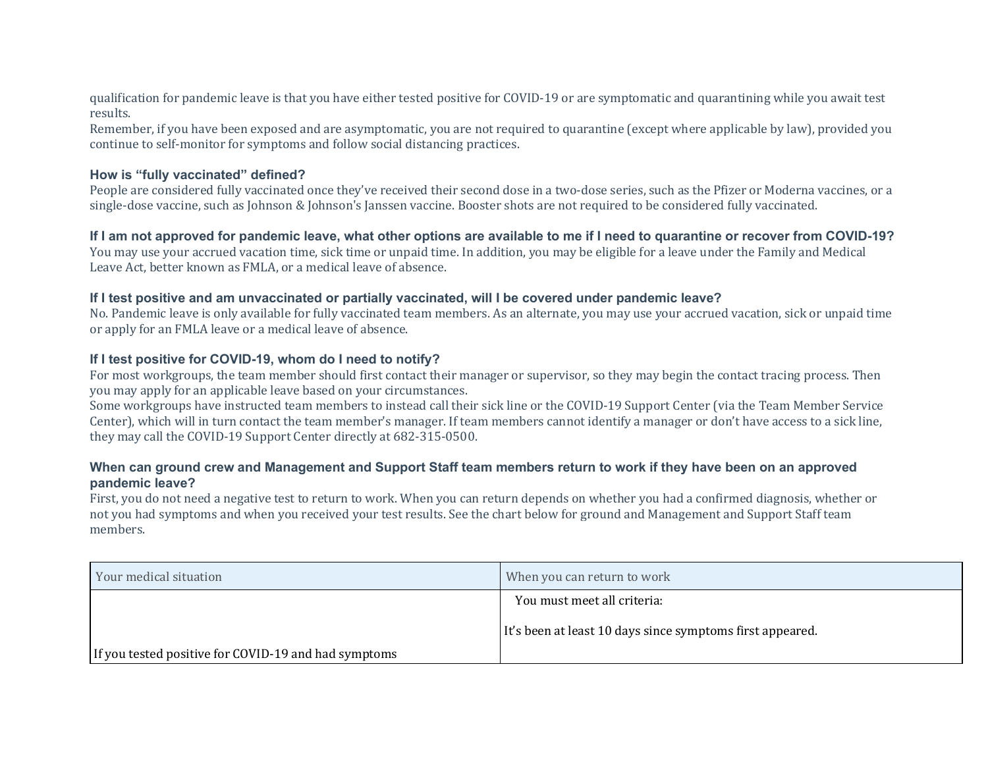qualification for pandemic leave is that you have either tested positive for COVID-19 or are symptomatic and quarantining while you await test results.

Remember, if you have been exposed and are asymptomatic, you are not required to quarantine (except where applicable by law), provided you continue to self-monitor for symptoms and follow social distancing practices.

#### **How is "fully vaccinated" defined?**

People are considered fully vaccinated once they've received their second dose in a two-dose series, such as the Pfizer or Moderna vaccines, or a single-dose vaccine, such as Johnson & Johnson's Janssen vaccine. Booster shots are not required to be considered fully vaccinated.

#### If I am not approved for pandemic leave, what other options are available to me if I need to quarantine or recover from COVID-19?

You may use your accrued vacation time, sick time or unpaid time. In addition, you may be eligible for a leave under the Family and Medical Leave Act, better known as FMLA, or a medical leave of absence.

#### **If I test positive and am unvaccinated or partially vaccinated, will I be covered under pandemic leave?**

No. Pandemic leave is only available for fully vaccinated team members. As an alternate, you may use your accrued vacation, sick or unpaid time or apply for an FMLA leave or a medical leave of absence.

#### **If I test positive for COVID-19, whom do I need to notify?**

For most workgroups, the team member should first contact their manager or supervisor, so they may begin the contact tracing process. Then you may apply for an applicable leave based on your circumstances.

Some workgroups have instructed team members to instead call their sick line or the COVID-19 Support Center (via the Team Member Service Center), which will in turn contact the team member's manager. If team members cannot identify a manager or don't have access to a sick line, they may call the COVID-19 Support Center directly at 682-315-0500.

#### When can ground crew and Management and Support Staff team members return to work if they have been on an approved **pandemic leave?**

First, you do not need a negative test to return to work. When you can return depends on whether you had a confirmed diagnosis, whether or not you had symptoms and when you received your test results. See the chart below for ground and Management and Support Staff team members.

| Your medical situation                               | When you can return to work                               |
|------------------------------------------------------|-----------------------------------------------------------|
|                                                      | You must meet all criteria:                               |
|                                                      | It's been at least 10 days since symptoms first appeared. |
| If you tested positive for COVID-19 and had symptoms |                                                           |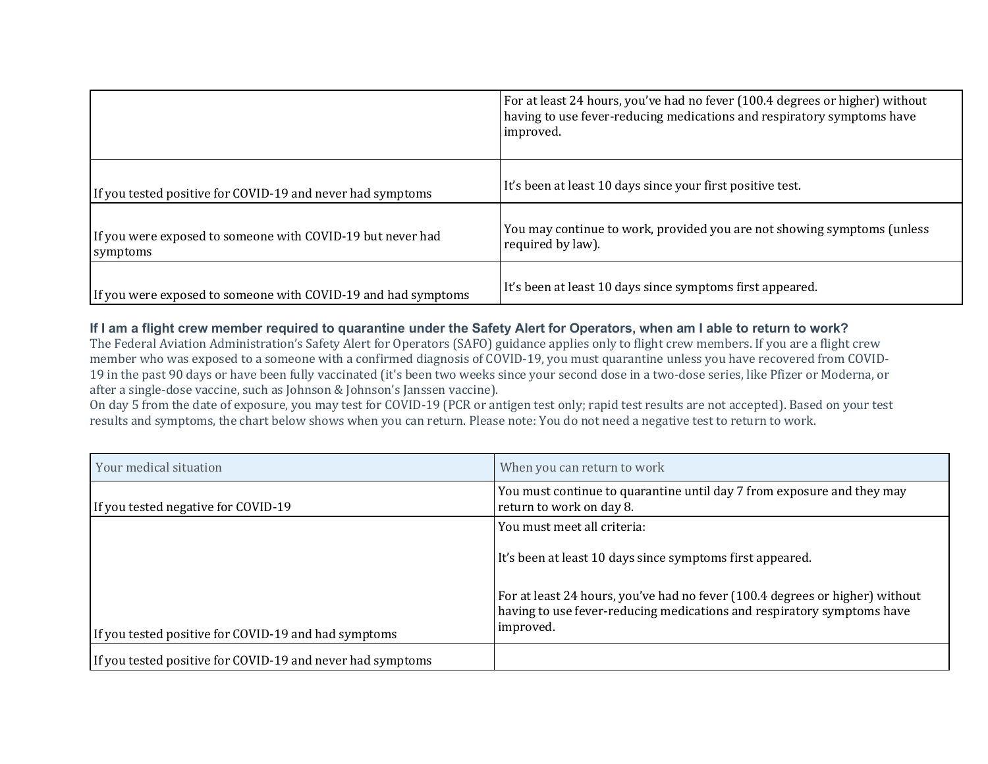|                                                                        | For at least 24 hours, you've had no fever (100.4 degrees or higher) without<br>having to use fever-reducing medications and respiratory symptoms have<br>improved. |
|------------------------------------------------------------------------|---------------------------------------------------------------------------------------------------------------------------------------------------------------------|
| If you tested positive for COVID-19 and never had symptoms             | It's been at least 10 days since your first positive test.                                                                                                          |
| If you were exposed to someone with COVID-19 but never had<br>symptoms | You may continue to work, provided you are not showing symptoms (unless<br>required by law).                                                                        |
| If you were exposed to someone with COVID-19 and had symptoms          | It's been at least 10 days since symptoms first appeared.                                                                                                           |

#### If I am a flight crew member required to quarantine under the Safety Alert for Operators, when am I able to return to work?

The Federal Aviation Administration's Safety Alert for Operators (SAFO) guidance applies only to flight crew members. If you are a flight crew member who was exposed to a someone with a confirmed diagnosis of COVID-19, you must quarantine unless you have recovered from COVID-19 in the past 90 days or have been fully vaccinated (it's been two weeks since your second dose in a two-dose series, like Pfizer or Moderna, or after a single-dose vaccine, such as Johnson & Johnson's Janssen vaccine).

On day 5 from the date of exposure, you may test for COVID-19 (PCR or antigen test only; rapid test results are not accepted). Based on your test results and symptoms, the chart below shows when you can return. Please note: You do not need a negative test to return to work.

| Your medical situation                                     | When you can return to work                                                                                                                                         |
|------------------------------------------------------------|---------------------------------------------------------------------------------------------------------------------------------------------------------------------|
| If you tested negative for COVID-19                        | You must continue to quarantine until day 7 from exposure and they may<br>return to work on day 8.                                                                  |
|                                                            | You must meet all criteria:                                                                                                                                         |
|                                                            | It's been at least 10 days since symptoms first appeared.                                                                                                           |
| If you tested positive for COVID-19 and had symptoms       | For at least 24 hours, you've had no fever (100.4 degrees or higher) without<br>having to use fever-reducing medications and respiratory symptoms have<br>improved. |
| If you tested positive for COVID-19 and never had symptoms |                                                                                                                                                                     |